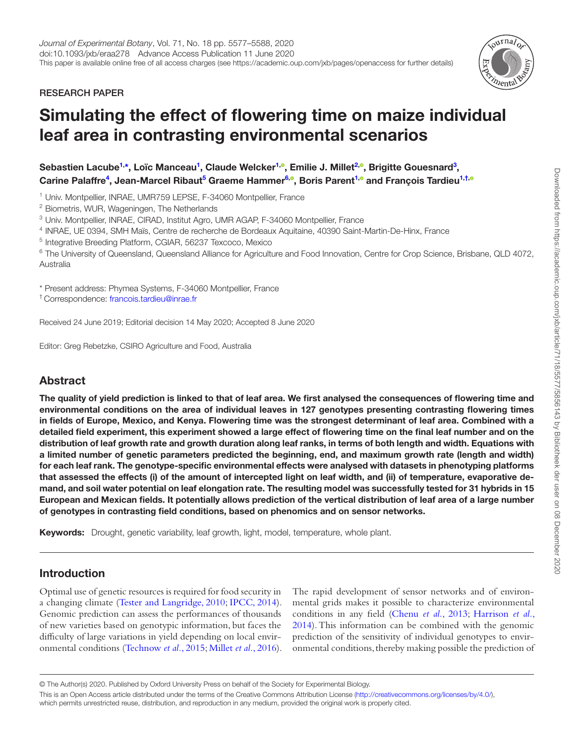RESEARCH PAPER



# Simulating the effect of flowering time on maize individual leaf area in contrasting environmental scenarios

Sebastien Lacube<sup>1,</sup>[\\*,](#page-0-1) Loïc Manceau<sup>1</sup>, Claude Welcker<sup>1,©</sup>, Emilie J. Millet<sup>2,©</sup>, Brigitte Gouesnard<sup>3</sup>, Carine Palaffre<sup>[4](#page-0-4)</sup>, Jean-Marcel Ribaut<sup>5</sup> Graeme Hammer<sup>6,®</sup>, Boris Parent<sup>[1,](#page-0-0)®</sup> and François Tardieu<sup>1,[†,](#page-0-7)</sup>

<span id="page-0-0"></span><sup>1</sup> Univ. Montpellier, INRAE, UMR759 LEPSE, F-34060 Montpellier, France

<span id="page-0-2"></span><sup>2</sup> Biometris, WUR, Wageningen, The Netherlands

<span id="page-0-3"></span><sup>3</sup> Univ. Montpellier, INRAE, CIRAD, Institut Agro, UMR AGAP, F-34060 Montpellier, France

<span id="page-0-4"></span><sup>4</sup> INRAE, UE 0394, SMH Maïs, Centre de recherche de Bordeaux Aquitaine, 40390 Saint-Martin-De-Hinx, France

<span id="page-0-5"></span><sup>5</sup> Integrative Breeding Platform, CGIAR, 56237 Texcoco, Mexico

<span id="page-0-6"></span><sup>6</sup> The University of Queensland, Queensland Alliance for Agriculture and Food Innovation, Centre for Crop Science, Brisbane, QLD 4072, Australia

<span id="page-0-1"></span>\* Present address: Phymea Systems, F-34060 Montpellier, France

<span id="page-0-7"></span>† Correspondence: [francois.tardieu@inrae.fr](mailto:francois.tardieu@inrae.fr?subject=)

Received 24 June 2019; Editorial decision 14 May 2020; Accepted 8 June 2020

Editor: Greg Rebetzke, CSIRO Agriculture and Food, Australia

# Abstract

The quality of yield prediction is linked to that of leaf area. We first analysed the consequences of flowering time and environmental conditions on the area of individual leaves in 127 genotypes presenting contrasting flowering times in fields of Europe, Mexico, and Kenya. Flowering time was the strongest determinant of leaf area. Combined with a detailed field experiment, this experiment showed a large effect of flowering time on the final leaf number and on the distribution of leaf growth rate and growth duration along leaf ranks, in terms of both length and width. Equations with a limited number of genetic parameters predicted the beginning, end, and maximum growth rate (length and width) for each leaf rank. The genotype-specific environmental effects were analysed with datasets in phenotyping platforms that assessed the effects (i) of the amount of intercepted light on leaf width, and (ii) of temperature, evaporative demand, and soil water potential on leaf elongation rate. The resulting model was successfully tested for 31 hybrids in 15 European and Mexican fields. It potentially allows prediction of the vertical distribution of leaf area of a large number of genotypes in contrasting field conditions, based on phenomics and on sensor networks.

Keywords: Drought, genetic variability, leaf growth, light, model, temperature, whole plant.

# Introduction

Optimal use of genetic resources is required for food security in a changing climate ([Tester and Langridge, 2010](#page-10-0); [IPCC, 2014](#page-10-1)). Genomic prediction can assess the performances of thousands of new varieties based on genotypic information, but faces the difficulty of large variations in yield depending on local environmental conditions [\(Technow](#page-10-2) *et al.*, 2015; [Millet](#page-10-3) *et al.*, 2016). The rapid development of sensor networks and of environmental grids makes it possible to characterize environmental conditions in any field ([Chenu](#page-10-4) *et al.*, 2013; [Harrison](#page-10-5) *et al.*, [2014\)](#page-10-5). This information can be combined with the genomic prediction of the sensitivity of individual genotypes to environmental conditions, thereby making possible the prediction of

<sup>©</sup> The Author(s) 2020. Published by Oxford University Press on behalf of the Society for Experimental Biology.

This is an Open Access article distributed under the terms of the Creative Commons Attribution License ([http://creativecommons.org/licenses/by/4.0/\)](http://creativecommons.org/licenses/by/4.0/), which permits unrestricted reuse, distribution, and reproduction in any medium, provided the original work is properly cited.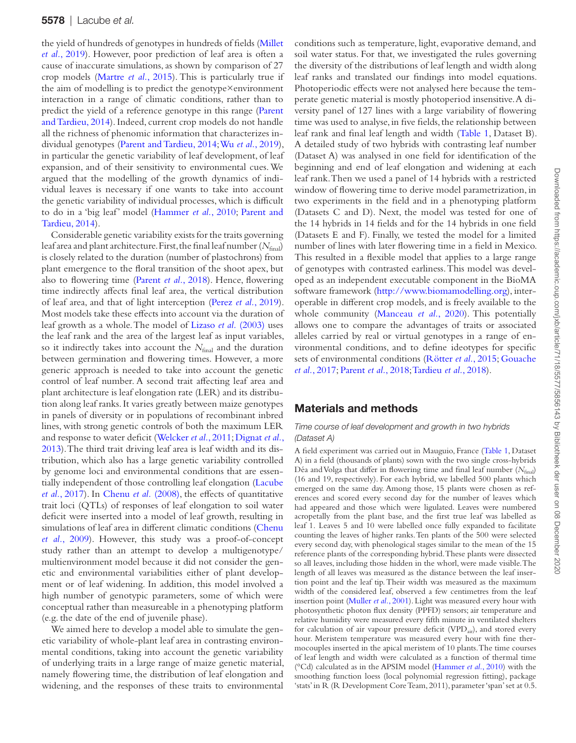the yield of hundreds of genotypes in hundreds of fields [\(Millet](#page-10-6) *et al.*[, 2019](#page-10-6)). However, poor prediction of leaf area is often a cause of inaccurate simulations, as shown by comparison of 27 crop models ([Martre](#page-10-7) *et al.*, 2015). This is particularly true if the aim of modelling is to predict the genotype×environment interaction in a range of climatic conditions, rather than to predict the yield of a reference genotype in this range [\(Parent](#page-10-8) [and Tardieu, 2014\)](#page-10-8). Indeed, current crop models do not handle all the richness of phenomic information that characterizes individual genotypes ([Parent and Tardieu, 2014;](#page-10-8) Wu *et al.*[, 2019](#page-11-0)), in particular the genetic variability of leaf development, of leaf expansion, and of their sensitivity to environmental cues. We argued that the modelling of the growth dynamics of individual leaves is necessary if one wants to take into account the genetic variability of individual processes, which is difficult to do in a 'big leaf' model ([Hammer](#page-10-9) *et al.*, 2010; [Parent and](#page-10-8) [Tardieu, 2014\)](#page-10-8).

Considerable genetic variability exists for the traits governing leaf area and plant architecture. First, the final leaf number (*N*final) is closely related to the duration (number of plastochrons) from plant emergence to the floral transition of the shoot apex, but also to flowering time ([Parent](#page-10-10) *et al.*, 2018). Hence, flowering time indirectly affects final leaf area, the vertical distribution of leaf area, and that of light interception (Perez *et al.*[, 2019](#page-10-11)). Most models take these effects into account via the duration of leaf growth as a whole. The model of Lizaso *et al.* [\(2003\)](#page-10-12) uses the leaf rank and the area of the largest leaf as input variables, so it indirectly takes into account the *N*<sub>final</sub> and the duration between germination and flowering times. However, a more generic approach is needed to take into account the genetic control of leaf number. A second trait affecting leaf area and plant architecture is leaf elongation rate (LER) and its distribution along leaf ranks. It varies greatly between maize genotypes in panels of diversity or in populations of recombinant inbred lines, with strong genetic controls of both the maximum LER and response to water deficit ([Welcker](#page-11-1) *et al.*, 2011; [Dignat](#page-10-13) *et al.*, [2013\)](#page-10-13). The third trait driving leaf area is leaf width and its distribution, which also has a large genetic variability controlled by genome loci and environmental conditions that are essentially independent of those controlling leaf elongation ([Lacube](#page-10-14) *et al.*[, 2017](#page-10-14)). In [Chenu](#page-10-15) *et al.* (2008), the effects of quantitative trait loci (QTLs) of responses of leaf elongation to soil water deficit were inserted into a model of leaf growth, resulting in simulations of leaf area in different climatic conditions ([Chenu](#page-10-16) *et al.*[, 2009\)](#page-10-16). However, this study was a proof-of-concept study rather than an attempt to develop a multigenotype/ multienvironment model because it did not consider the genetic and environmental variabilities either of plant development or of leaf widening. In addition, this model involved a high number of genotypic parameters, some of which were conceptual rather than measureable in a phenotyping platform (e.g. the date of the end of juvenile phase).

We aimed here to develop a model able to simulate the genetic variability of whole-plant leaf area in contrasting environmental conditions, taking into account the genetic variability of underlying traits in a large range of maize genetic material, namely flowering time, the distribution of leaf elongation and widening, and the responses of these traits to environmental

conditions such as temperature, light, evaporative demand, and soil water status. For that, we investigated the rules governing the diversity of the distributions of leaf length and width along leaf ranks and translated our findings into model equations. Photoperiodic effects were not analysed here because the temperate genetic material is mostly photoperiod insensitive. A diversity panel of 127 lines with a large variability of flowering time was used to analyse, in five fields, the relationship between leaf rank and final leaf length and width [\(Table 1,](#page-2-0) Dataset B). A detailed study of two hybrids with contrasting leaf number (Dataset A) was analysed in one field for identification of the beginning and end of leaf elongation and widening at each leaf rank. Then we used a panel of 14 hybrids with a restricted window of flowering time to derive model parametrization, in two experiments in the field and in a phenotyping platform (Datasets C and D). Next, the model was tested for one of the 14 hybrids in 14 fields and for the 14 hybrids in one field (Datasets E and F). Finally, we tested the model for a limited number of lines with later flowering time in a field in Mexico. This resulted in a flexible model that applies to a large range of genotypes with contrasted earliness. This model was developed as an independent executable component in the BioMA software framework (<http://www.biomamodelling.org>), interoperable in different crop models, and is freely available to the whole community [\(Manceau](#page-10-17) *et al.*, 2020). This potentially allows one to compare the advantages of traits or associated alleles carried by real or virtual genotypes in a range of environmental conditions, and to define ideotypes for specific sets of environmental conditions [\(Rötter](#page-10-18) *et al.*, 2015; [Gouache](#page-10-19) *et al.*[, 2017](#page-10-19); [Parent](#page-10-10) *et al.*, 2018; [Tardieu](#page-10-20) *et al.*, 2018).

# Materials and methods

#### *Time course of leaf development and growth in two hybrids (Dataset A)*

A field experiment was carried out in Mauguio, France ([Table 1,](#page-2-0) Dataset A) in a field (thousands of plants) sown with the two single cross-hybrids Déa and Volga that differ in flowering time and final leaf number  $(N_{\text{final}})$ (16 and 19, respectively). For each hybrid, we labelled 500 plants which emerged on the same day. Among those, 15 plants were chosen as references and scored every second day for the number of leaves which had appeared and those which were ligulated. Leaves were numbered acropetally from the plant base, and the first true leaf was labelled as leaf 1. Leaves 5 and 10 were labelled once fully expanded to facilitate counting the leaves of higher ranks. Ten plants of the 500 were selected every second day, with phenological stages similar to the mean of the 15 reference plants of the corresponding hybrid. These plants were dissected so all leaves, including those hidden in the whorl, were made visible. The length of all leaves was measured as the distance between the leaf insertion point and the leaf tip. Their width was measured as the maximum width of the considered leaf, observed a few centimetres from the leaf insertion point ([Muller](#page-10-21) *et al.*, 2001). Light was measured every hour with photosynthetic photon flux density (PPFD) sensors; air temperature and relative humidity were measured every fifth minute in ventilated shelters for calculation of air vapour pressure deficit (VPD<sub>air</sub>), and stored every hour. Meristem temperature was measured every hour with fine thermocouples inserted in the apical meristem of 10 plants. The time courses of leaf length and width were calculated as a function of thermal time (°Cd) calculated as in the APSIM model [\(Hammer](#page-10-9) *et al.*, 2010) with the smoothing function loess (local polynomial regression fitting), package 'stats' in R (R Development Core Team, 2011), parameter 'span' set at 0.5.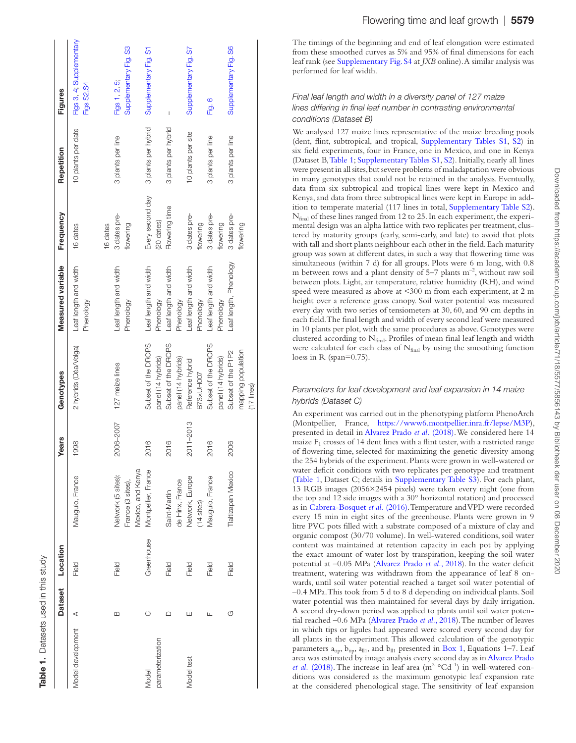|                     |         | Dataset Location |                                        | <b>Years</b>  | Genotypes             | Measured variable                  | Frequency        | Repetition          | Figures                                 |
|---------------------|---------|------------------|----------------------------------------|---------------|-----------------------|------------------------------------|------------------|---------------------|-----------------------------------------|
| Model development A |         | Field            | Mauguio, France                        | 1998          | 2 hybrids (Déa/Volga) | Leaf length and width<br>Phenology | 16 dates         | 10 plants per date  | Figs 3, 4; Supplementary<br>Figs S2, S4 |
|                     |         |                  |                                        |               |                       |                                    | 16 dates         |                     |                                         |
|                     | m       | Field            | Network (5 sites):                     | 2006-2007     | 127 maize lines       | Leaf length and width              | 3 dates pre-     | 3 plants per line   | Figs 1, 2, 5;                           |
|                     |         |                  | Mexico, and Kenya<br>France (3 sites), |               |                       | Phenology                          | flowering        |                     | Supplementary Fig. S3                   |
| Model               | $\circ$ | Greenhouse       | Montpellier, France                    | 2016          | Subset of the DROPS   | Leaf length and width              | Every second day | 3 plants per hybrid | Supplementary Fig. S1                   |
| parameterization    |         |                  |                                        |               | panel (14 hybrids)    | Phenology                          | (20 dates)       |                     |                                         |
|                     |         | Field            | Saint-Martin                           | 2016          | Subset of the DROPS   | Leaf length and width              | Flowering time   | 3 plants per hybrid | I                                       |
|                     |         |                  | de Hinx, France                        |               | panel (14 hybrids)    | Phenology                          |                  |                     |                                         |
| Model test          | ш       | Field            | Network, Europe                        | $2011 - 2013$ | Reference hybrid      | Leaf length and width              | 3 dates pre-     | 10 plants per site  | Supplementary Fig. S7                   |
|                     |         |                  | $(14$ sites $)$                        |               | B73×UH007             | Phenology                          | flowering        |                     |                                         |
|                     |         | Field            | Vlauguio, France                       | 2016          | Subset of the DROPS   | Leaf length and width              | 3 dates pre-     | 3 plants per line   | Fig. 6                                  |
|                     |         |                  |                                        |               | panel (14 hybrids)    | Phenology                          | flowering        |                     |                                         |
|                     | ர       | Field            | Taltizapan Mexico                      | 2006          | Subset of the P1P2    | Leaf length, Phenology             | 3 dates pre-     | 3 plants per line   | Supplementary Fig. S6                   |
|                     |         |                  |                                        |               | mapping population    |                                    | flowering        |                     |                                         |
|                     |         |                  |                                        |               | $(17$ lines           |                                    |                  |                     |                                         |

<span id="page-2-0"></span>Table 1. Datasets used in this study

Datasets used in this study

The timings of the beginning and end of leaf elongation were estimated from these smoothed curves as 5% and 95% of final dimensions for each leaf rank (see [Supplementary Fig. S4](http://academic.oup.com/jxb/article-lookup/doi/10.1093/jxb/eraa278#supplementary-data) at *JXB* online). A similar analysis was performed for leaf width.

#### *Final leaf length and width in a diversity panel of 127 maize lines differing in final leaf number in contrasting environmental conditions (Dataset B)*

We analysed 127 maize lines representative of the maize breeding pools (dent, flint, subtropical, and tropical, [Supplementary Tables S1,](http://academic.oup.com/jxb/article-lookup/doi/10.1093/jxb/eraa278#supplementary-data) [S2](http://academic.oup.com/jxb/article-lookup/doi/10.1093/jxb/eraa278#supplementary-data)) in six field experiments, four in France, one in Mexico, and one in Kenya (Dataset B, [Table 1](#page-2-0); [Supplementary Tables S1](http://academic.oup.com/jxb/article-lookup/doi/10.1093/jxb/eraa278#supplementary-data), [S2](http://academic.oup.com/jxb/article-lookup/doi/10.1093/jxb/eraa278#supplementary-data)). Initially, nearly all lines were present in all sites, but severe problems of maladaptation were obvious in many genotypes that could not be retained in the analysis. Eventually, data from six subtropical and tropical lines were kept in Mexico and Kenya, and data from three subtropical lines were kept in Europe in add - ition to temperate material (117 lines in total, [Supplementary Table S2\)](http://academic.oup.com/jxb/article-lookup/doi/10.1093/jxb/eraa278#supplementary-data).  $N_{final}$  of these lines ranged from 12 to 25. In each experiment, the experimental design was an alpha lattice with two replicates per treatment, clustered by maturity groups (early, semi-early, and late) to avoid that plots with tall and short plants neighbour each other in the field. Each maturity group was sown at different dates, in such a way that flowering time was simultaneous (within 7 d) for all groups. Plots were 6 m long, with 0.8 m between rows and a plant density of  $5-7$  plants  $\mathrm{m}^{-2}$ , without raw soil between plots. Light, air temperature, relative humidity (RH), and wind speed were measured as above at <300 m from each experiment, at 2 m height over a reference grass canopy. Soil water potential was measured every day with two series of tensiometers at 30, 60, and 90 cm depths in each field. The final length and width of every second leaf were measured in 10 plants per plot, with the same procedures as above. Genotypes were clustered according to Nfinal. Profiles of mean final leaf length and width were calculated for each class of Nfinal by using the smoothing function loess in R (span=0.75).

## *Parameters for leaf development and leaf expansion in 14 maize hybrids (Dataset C)*

An experiment was carried out in the phenotyping platform PhenoArch (Montpellier, France, [https://www6.montpellier.inra.fr/lepse/M3P\)](https://www6.montpellier.inra.fr/lepse/M3P), presented in detail in [Alvarez Prado](#page-10-22) *et al.* (2018). We considered here 14 maize F 1 crosses of 14 dent lines with a flint tester, with a restricted range of flowering time, selected for maximizing the genetic diversity among the 254 hybrids of the experiment. Plants were grown in well-watered or [water de](#page-2-0)ficit conditions with t[wo replicates per genoty](http://academic.oup.com/jxb/article-lookup/doi/10.1093/jxb/eraa278#supplementary-data)pe and treatment ([Table 1](#page-2-0), Dataset C; details in [Supplementary Table S3](http://academic.oup.com/jxb/article-lookup/doi/10.1093/jxb/eraa278#supplementary-data)). For each plant, 13 RGB images (2056×2454 pixels) were taken every night (one from the top and 12 side images with a 30° horizontal rotation) and processed as in [Cabrera-Bosquet](#page-10-23) *et al.* (2016). Temperature and VPD were recorded every 15 min in eight sites of the greenhouse. Plants were grown in 9 litre PVC pots filled with a substrate composed of a mixture of clay and organic compost (30/70 volume). In well-watered conditions, soil water content was maintained at retention capacity in each pot by applying the exact amount of water lost by transpiration, keeping the soil water potential at –0.05 MPa ([Alvarez Prado](#page-10-22) *et al.*, 2018). In the water deficit treatment, watering was withdrawn from the appearance of leaf 8 on wards, until soil water potential reached a target soil water potential of –0.4 MPa. This took from 5 d to 8 d depending on individual plants. Soil water potential was then maintained for several days by daily irrigation. A second dry-down period was applied to plants until soil water poten tial reached –0.6 MPa [\(Alvarez Prado](#page-10-22) *et al.*, 2018). The number of leaves in which tips or ligules had appeared were scored every second day for all plants in the experiment. This allowed calculation of the genotypic parameters  $a_{tip}$ ,  $b_{tip}$ ,  $a_{ll1}$ , and  $b_{ll1}$  presented in Box 1, Equations 1–7. Leaf area was estimated by image analysis every second day as in [Alvarez Prado](#page-10-22)  *et al.* [\(2018\)](#page-10-22). The increase in leaf area  $(m^2 \text{ }^\circ \text{Cd}^{-1})$  in well-watered conditions was considered as the maximum genotypic leaf expansion rate at the considered phenological stage. The sensitivity of leaf expansion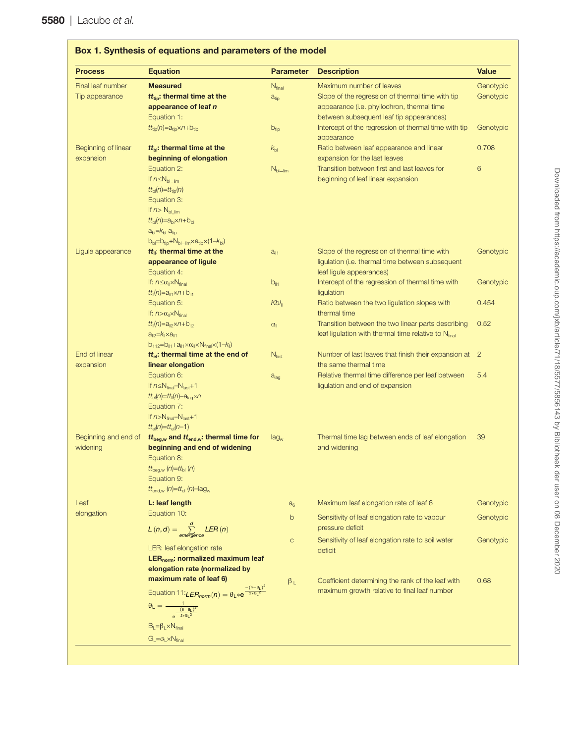<span id="page-3-0"></span>

| <b>Process</b>       | <b>Equation</b>                                                                             | <b>Parameter</b>     | <b>Description</b>                                               | <b>Value</b> |
|----------------------|---------------------------------------------------------------------------------------------|----------------------|------------------------------------------------------------------|--------------|
| Final leaf number    | <b>Measured</b>                                                                             | $N_{final}$          | Maximum number of leaves                                         | Genotypic    |
| Tip appearance       | $tt_{\text{tio}}$ : thermal time at the                                                     | a <sub>tip</sub>     | Slope of the regression of thermal time with tip                 | Genotypic    |
|                      | appearance of leaf n                                                                        |                      | appearance (i.e. phyllochron, thermal time                       |              |
|                      | Equation 1:                                                                                 |                      | between subsequent leaf tip appearances)                         |              |
|                      | $tt_{\text{tip}}(n) = a_{\text{tip}} \times n + b_{\text{tip}}$                             | $b_{tip}$            | Intercept of the regression of thermal time with tip             | Genotypic    |
|                      |                                                                                             |                      | appearance                                                       |              |
| Beginning of linear  | $tt_{bl}$ : thermal time at the                                                             | $k_{\text{bl}}$      | Ratio between leaf appearance and linear                         | 0.708        |
| expansion            | beginning of elongation                                                                     |                      | expansion for the last leaves                                    |              |
|                      | Equation 2:                                                                                 | $N_{bl\_lim}$        | Transition between first and last leaves for                     | 6            |
|                      | If $n \leq N_{bl\_lim}$                                                                     |                      | beginning of leaf linear expansion                               |              |
|                      | $tt_{bl}(n)=tt_{tio}(n)$                                                                    |                      |                                                                  |              |
|                      | Equation 3:                                                                                 |                      |                                                                  |              |
|                      | If $n > N_{bl \, lim}$                                                                      |                      |                                                                  |              |
|                      | $tt_{\text{bl}}(n) = a_{\text{bl}} \times n + b_{\text{bl}}$                                |                      |                                                                  |              |
|                      | $abl=kbl atip$                                                                              |                      |                                                                  |              |
|                      | $b_{bl} = b_{tio} + N_{bl - lim} \times a_{tio} \times (1 - k_{bl})$                        |                      |                                                                  |              |
| Ligule appearance    | $tt_{\parallel}$ : thermal time at the                                                      | $a_{\parallel 1}$    | Slope of the regression of thermal time with                     | Genotypic    |
|                      | appearance of ligule                                                                        |                      | ligulation (i.e. thermal time between subsequent                 |              |
|                      | Equation 4:                                                                                 |                      | leaf ligule appearances)                                         |              |
|                      | If: $n \leq \alpha_{\parallel} \times N_{\text{final}}$                                     | $b_{\parallel 1}$    | Intercept of the regression of thermal time with                 | Genotypic    |
|                      | $tt_{\parallel}(n) = a_{\parallel 1} \times n + b_{\parallel 1}$                            |                      | ligulation                                                       |              |
|                      | Equation 5:                                                                                 | $Kbl_{\parallel}$    | Ratio between the two ligulation slopes with                     | 0.454        |
|                      | If: $n > \alpha_{\parallel} \times N_{final}$                                               |                      | thermal time                                                     |              |
|                      | $tt_{  }(n) = a_{  2} \times n + b_{  2}$                                                   | $\alpha_{\parallel}$ | Transition between the two linear parts describing               | 0.52         |
|                      | $a_{II2} = k_{II} \times a_{II1}$                                                           |                      | leaf ligulation with thermal time relative to Nfinal             |              |
|                      | $b_{112}=b_{11}+a_{11}\times\alpha_1\times N_{final}\times(1-k_1)$                          |                      |                                                                  |              |
| End of linear        | $tt_{el}$ : thermal time at the end of                                                      | N <sub>last</sub>    | Number of last leaves that finish their expansion at 2           |              |
| expansion            | linear elongation                                                                           |                      | the same thermal time                                            |              |
|                      | Equation 6:                                                                                 | a <sub>lag</sub>     | Relative thermal time difference per leaf between                | 5.4          |
|                      | If $n \leq N_{final} - N_{last} + 1$                                                        |                      | ligulation and end of expansion                                  |              |
|                      | $tt_{el}(n)=tt_{  }(n)-a_{la}\times n$                                                      |                      |                                                                  |              |
|                      | Equation 7:                                                                                 |                      |                                                                  |              |
|                      | If $n>N_{final}-N_{last}+1$                                                                 |                      |                                                                  |              |
|                      | $tt_{el}(n)=tt_{el}(n-1)$                                                                   |                      |                                                                  |              |
| Beginning and end of | $tt_{beg,w}$ and $tt_{end,w}$ : thermal time for                                            | lag <sub>w</sub>     | Thermal time lag between ends of leaf elongation<br>and widening | 39           |
| widening             | beginning and end of widening                                                               |                      |                                                                  |              |
|                      | Equation 8:                                                                                 |                      |                                                                  |              |
|                      | $tt_{\text{beg,w}}(n) = tt_{\text{bl}}(n)$<br>Equation 9:                                   |                      |                                                                  |              |
|                      | $tt_{\text{end,w}}(n)$ = $tt_{\text{el}}(n)$ -lag <sub>w</sub>                              |                      |                                                                  |              |
|                      |                                                                                             |                      |                                                                  |              |
| Leaf                 | L: leaf length                                                                              | $a_6$                | Maximum leaf elongation rate of leaf 6                           | Genotypic    |
| elongation           | Equation 10:                                                                                | $\mathsf b$          | Sensitivity of leaf elongation rate to vapour                    | Genotypic    |
|                      | $L(n,d) = \sum_{\text{emercence}}^d LER(n)$                                                 |                      | pressure deficit                                                 |              |
|                      |                                                                                             | $\mathsf C$          | Sensitivity of leaf elongation rate to soil water                | Genotypic    |
|                      | LER: leaf elongation rate                                                                   |                      | deficit                                                          |              |
|                      | LER <sub>norm</sub> : normalized maximum leaf                                               |                      |                                                                  |              |
|                      | elongation rate (normalized by                                                              |                      |                                                                  |              |
|                      | maximum rate of leaf 6)                                                                     | $\beta_L$            | Coefficient determining the rank of the leaf with                | 0.68         |
|                      | Equation 11: <i>LER</i> <sub>norm</sub> $(n) = \theta_L * e^{\frac{-(n-B_L)^2}{2 * G_L^2}}$ |                      | maximum growth relative to final leaf number                     |              |
|                      |                                                                                             |                      |                                                                  |              |
|                      | $\theta_L=\frac{1}{\frac{-\left(\mathbf{6}-\mathbf{B}_L\right)^2}{2*\mathbf{G}_L{}^2}}$     |                      |                                                                  |              |
|                      | $B_L = \beta_L \times N_{final}$                                                            |                      |                                                                  |              |
|                      |                                                                                             |                      |                                                                  |              |
|                      | $G_L = \sigma_L \times N_{final}$                                                           |                      |                                                                  |              |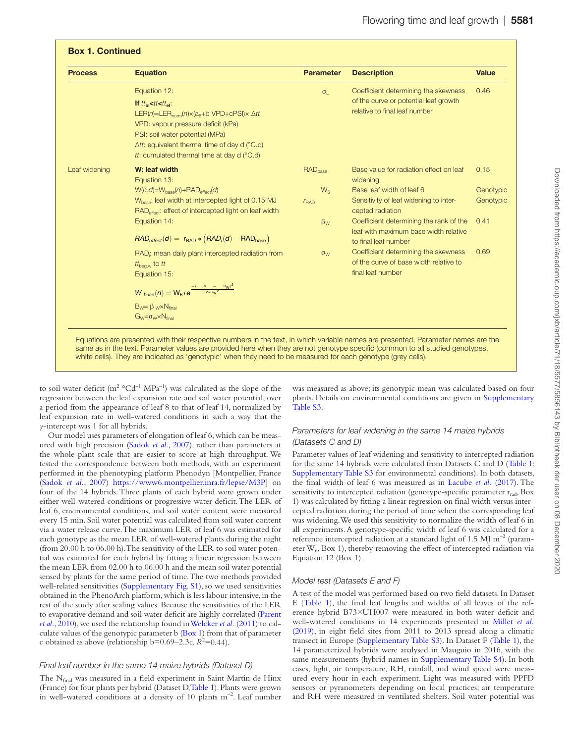| <b>Process</b> | <b>Equation</b>                                                                                                                                                                                                                                                                                                                             | <b>Parameter</b>           | <b>Description</b>                                                                                             | <b>Value</b> |
|----------------|---------------------------------------------------------------------------------------------------------------------------------------------------------------------------------------------------------------------------------------------------------------------------------------------------------------------------------------------|----------------------------|----------------------------------------------------------------------------------------------------------------|--------------|
|                | Equation 12:<br>If $t t_{\text{bl}} < t t < t t_{\text{el}}$ :<br>LER(n)=LER <sub>norm</sub> (n) $\times$ (a <sub>6</sub> +b VPD+cPSI) $\times$ $\Delta$ tt<br>VPD: vapour pressure deficit (kPa)<br>PSI: soil water potential (MPa)<br>$\Delta tt$ : equivalent thermal time of day d (°C.d)<br>tt: cumulated thermal time at day d (°C.d) | $\sigma_{\parallel}$       | Coefficient determining the skewness<br>of the curve or potential leaf growth<br>relative to final leaf number | 0.46         |
| Leaf widening  | W: leaf width<br>Equation 13:                                                                                                                                                                                                                                                                                                               | <b>RAD</b> <sub>hase</sub> | Base value for radiation effect on leaf<br>widening                                                            | 0.15         |
|                | $W(n, d) = W_{base}(n) + RAD_{effect}(d)$                                                                                                                                                                                                                                                                                                   | $W_{\rm f}$                | Base leaf width of leaf 6                                                                                      | Genotypic    |
|                | W <sub>hase</sub> : leaf width at intercepted light of 0.15 MJ<br>RAD <sub>effect</sub> : effect of intercepted light on leaf width                                                                                                                                                                                                         | r <sub>BAD</sub>           | Sensitivity of leaf widening to inter-<br>cepted radiation                                                     | Genotypic    |
|                | Equation 14:<br>$RAD_{effect}(d) = r_{RAD} * (RAD_i(d) - RAD_{base})$                                                                                                                                                                                                                                                                       | $\beta_{W}$                | Coefficient determining the rank of the<br>leaf with maximum base width relative<br>to final leaf number       | 0.41         |
|                | RAD; mean daily plant intercepted radiation from<br>$tt_{bea,w}$ to tt<br>Equation 15:                                                                                                                                                                                                                                                      | $\sigma_{\rm W}$           | Coefficient determining the skewness<br>of the curve of base width relative to<br>final leaf number            | 0.69         |
|                | $W_{\text{base}}(n) = W_6* e^{\frac{-(-n_- - B_W)^2}{2*G_W^2}}$                                                                                                                                                                                                                                                                             |                            |                                                                                                                |              |
|                | $B_W = \beta_W \times N_{final}$<br>$G_W = \sigma_W \times N_{final}$                                                                                                                                                                                                                                                                       |                            |                                                                                                                |              |

to soil water deficit ( $m^2$  °Cd<sup>-1</sup> MPa<sup>-1</sup>) was calculated as the slope of the regression between the leaf expansion rate and soil water potential, over a period from the appearance of leaf 8 to that of leaf 14, normalized by leaf expansion rate in well-watered conditions in such a way that the *y*-intercept was 1 for all hybrids.

Our model uses parameters of elongation of leaf 6, which can be measured with high precision [\(Sadok](#page-10-24) *et al.*, 2007), rather than parameters at the whole-plant scale that are easier to score at high throughput. We tested the correspondence between both methods, with an experiment performed in the phenotyping platform Phenodyn [Montpellier, France ([Sadok](#page-10-24) *et al.*, 2007) <https://www6.montpellier.inra.fr/lepse/M3P>] on four of the 14 hybrids. Three plants of each hybrid were grown under either well-watered conditions or progressive water deficit. The LER of leaf 6, environmental conditions, and soil water content were measured every 15 min. Soil water potential was calculated from soil water content via a water release curve. The maximum LER of leaf 6 was estimated for each genotype as the mean LER of well-watered plants during the night (from 20.00 h to 06.00 h). The sensitivity of the LER to soil water potential was estimated for each hybrid by fitting a linear regression between the mean LER from 02.00 h to 06.00 h and the mean soil water potential sensed by plants for the same period of time. The two methods provided well-related sensitivities [\(Supplementary Fig. S1](http://academic.oup.com/jxb/article-lookup/doi/10.1093/jxb/eraa278#supplementary-data)), so we used sensitivities obtained in the PhenoArch platform, which is less labour intensive, in the rest of the study after scaling values. Because the sensitivities of the LER to evaporative demand and soil water deficit are highly correlated ([Parent](#page-10-25) *et al.*[, 2010\)](#page-10-25), we used the relationship found in [Welcker](#page-11-1) *et al.* (2011) to calculate values of the genotypic parameter b (Box 1) from that of parameter c obtained as above (relationship  $b=0.69-2.3c$ ,  $R^2=0.44$ ).

#### *Final leaf number in the same 14 maize hybrids (Dataset D)*

The  $N_{final}$  was measured in a field experiment in Saint Martin de Hinx (France) for four plants per hybrid (Dataset D[, Table 1\)](#page-2-0). Plants were grown in well-watered conditions at a density of 10 plants m–2. Leaf number was measured as above; its genotypic mean was calculated based on four plants. Details on environmental conditions are given in [Supplementary](http://academic.oup.com/jxb/article-lookup/doi/10.1093/jxb/eraa278#supplementary-data) [Table S3](http://academic.oup.com/jxb/article-lookup/doi/10.1093/jxb/eraa278#supplementary-data).

#### *Parameters for leaf widening in the same 14 maize hybrids (Datasets C and D)*

Parameter values of leaf widening and sensitivity to intercepted radiation for the same 14 hybrids were calculated from Datasets C and D ([Table 1;](#page-2-0) [Supplementary Table S3](http://academic.oup.com/jxb/article-lookup/doi/10.1093/jxb/eraa278#supplementary-data) for environmental conditions). In both datasets, the final width of leaf 6 was measured as in [Lacube](#page-10-14) *et al.* (2017). The sensitivity to intercepted radiation (genotype-specific parameter  $r_{rad}$ , Box 1) was calculated by fitting a linear regression on final width versus intercepted radiation during the period of time when the corresponding leaf was widening. We used this sensitivity to normalize the width of leaf 6 in all experiments. A genotype-specific width of leaf 6 was calculated for a reference intercepted radiation at a standard light of 1.5 MJ m<sup>-2</sup> (parameter  $W_6$ , Box 1), thereby removing the effect of intercepted radiation via Equation 12 (Box 1).

#### *Model test (Datasets E and F)*

A test of the model was performed based on two field datasets. In Dataset E ([Table 1](#page-2-0)), the final leaf lengths and widths of all leaves of the reference hybrid B73×UH007 were measured in both water deficit and well-watered conditions in 14 experiments presented in [Millet](#page-10-6) *et al.* [\(2019\)](#page-10-6), in eight field sites from 2011 to 2013 spread along a climatic transect in Europe ([Supplementary Table S3\)](http://academic.oup.com/jxb/article-lookup/doi/10.1093/jxb/eraa278#supplementary-data). In Dataset F ([Table 1\)](#page-2-0), the 14 parameterized hybrids were analysed in Mauguio in 2016, with the same measurements (hybrid names in [Supplementary Table S4\)](http://academic.oup.com/jxb/article-lookup/doi/10.1093/jxb/eraa278#supplementary-data). In both cases, light, air temperature, RH, rainfall, and wind speed were measured every hour in each experiment. Light was measured with PPFD sensors or pyranometers depending on local practices; air temperature and RH were measured in ventilated shelters. Soil water potential was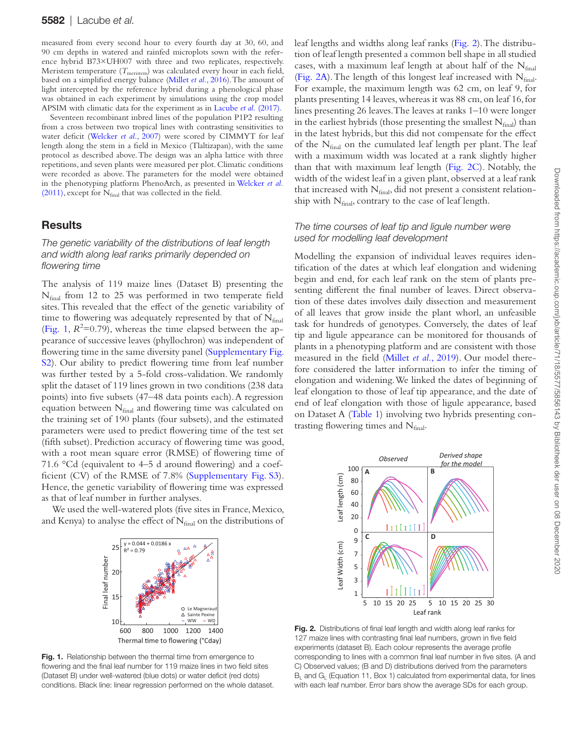measured from every second hour to every fourth day at 30, 60, and 90 cm depths in watered and rainfed microplots sown with the reference hybrid B73×UH007 with three and two replicates, respectively. Meristem temperature  $(T_{\text{meristem}})$  was calculated every hour in each field, based on a simplified energy balance [\(Millet](#page-10-3) *et al.*, 2016). The amount of light intercepted by the reference hybrid during a phenological phase was obtained in each experiment by simulations using the crop model APSIM with climatic data for the experiment as in [Lacube](#page-10-14) *et al.* (2017).

Seventeen recombinant inbred lines of the population P1P2 resulting from a cross between two tropical lines with contrasting sensitivities to water deficit ([Welcker](#page-10-26) *et al.*, 2007) were scored by CIMMYT for leaf length along the stem in a field in Mexico (Tlaltizapan), with the same protocol as described above. The design was an alpha lattice with three repetitions, and seven plants were measured per plot. Climatic conditions were recorded as above. The parameters for the model were obtained in the phenotyping platform PhenoArch, as presented in [Welcker](#page-11-1) *et al.* [\(2011\)](#page-11-1), except for  $N_{final}$  that was collected in the field.

## **Results**

#### *The genetic variability of the distributions of leaf length and width along leaf ranks primarily depended on flowering time*

The analysis of 119 maize lines (Dataset B) presenting the Nfinal from 12 to 25 was performed in two temperate field sites. This revealed that the effect of the genetic variability of time to flowering was adequately represented by that of  $N_{final}$ [\(Fig. 1](#page-5-0),  $R^2 = 0.79$ ), whereas the time elapsed between the appearance of successive leaves (phyllochron) was independent of flowering time in the same diversity panel [\(Supplementary Fig.](http://academic.oup.com/jxb/article-lookup/doi/10.1093/jxb/eraa278#supplementary-data) [S2\)](http://academic.oup.com/jxb/article-lookup/doi/10.1093/jxb/eraa278#supplementary-data). Our ability to predict flowering time from leaf number was further tested by a 5-fold cross-validation. We randomly split the dataset of 119 lines grown in two conditions (238 data points) into five subsets (47–48 data points each). A regression equation between Nfinal and flowering time was calculated on the training set of 190 plants (four subsets), and the estimated parameters were used to predict flowering time of the test set (fifth subset). Prediction accuracy of flowering time was good, with a root mean square error (RMSE) of flowering time of 71.6 °Cd (equivalent to 4–5 d around flowering) and a coefficient (CV) of the RMSE of 7.8% [\(Supplementary Fig. S3](http://academic.oup.com/jxb/article-lookup/doi/10.1093/jxb/eraa278#supplementary-data)). Hence, the genetic variability of flowering time was expressed as that of leaf number in further analyses.

 We used the well-watered plots (five sites in France, Mexico, and Kenya) to analyse the effect of  $N_{final}$  on the distributions of



<span id="page-5-0"></span>Fig. 1. Relationship between the thermal time from emergence to flowering and the final leaf number for 119 maize lines in two field sites (Dataset B) under well-watered (blue dots) or water deficit (red dots) conditions. Black line: linear regression performed on the whole dataset.

leaf lengths and widths along leaf ranks [\(Fig. 2](#page-5-1)). The distribution of leaf length presented a common bell shape in all studied cases, with a maximum leaf length at about half of the  $N_{final}$ [\(Fig. 2A](#page-5-1)). The length of this longest leaf increased with  $N_{final}$ . For example, the maximum length was 62 cm, on leaf 9, for plants presenting 14 leaves, whereas it was 88 cm, on leaf 16, for lines presenting 26 leaves. The leaves at ranks 1–10 were longer in the earliest hybrids (those presenting the smallest  $N_{final}$ ) than in the latest hybrids, but this did not compensate for the effect of the  $N_{final}$  on the cumulated leaf length per plant. The leaf with a maximum width was located at a rank slightly higher than that with maximum leaf length ([Fig. 2C\)](#page-5-1). Notably, the width of the widest leaf in a given plant, observed at a leaf rank that increased with  $N_{final}$ , did not present a consistent relationship with  $N_{final}$ , contrary to the case of leaf length.

#### *The time courses of leaf tip and ligule number were used for modelling leaf development*

Modelling the expansion of individual leaves requires identification of the dates at which leaf elongation and widening begin and end, for each leaf rank on the stem of plants presenting different the final number of leaves. Direct observation of these dates involves daily dissection and measurement of all leaves that grow inside the plant whorl, an unfeasible task for hundreds of genotypes. Conversely, the dates of leaf tip and ligule appearance can be monitored for thousands of plants in a phenotyping platform and are consistent with those measured in the field [\(Millet](#page-10-6) *et al.*, 2019). Our model therefore considered the latter information to infer the timing of elongation and widening. We linked the dates of beginning of leaf elongation to those of leaf tip appearance, and the date of end of leaf elongation with those of ligule appearance, based on Dataset A [\(Table 1](#page-2-0)) involving two hybrids presenting contrasting flowering times and  $N_{final}$ .



<span id="page-5-1"></span>Fig. 2. Distributions of final leaf length and width along leaf ranks for 127 maize lines with contrasting final leaf numbers, grown in five field experiments (dataset B). Each colour represents the average profile corresponding to lines with a common final leaf number in five sites. (A and C) Observed values; (B and D) distributions derived from the parameters  $B<sub>l</sub>$  and  $G<sub>l</sub>$  (Equation 11, Box 1) calculated from experimental data, for lines with each leaf number. Error bars show the average SDs for each group.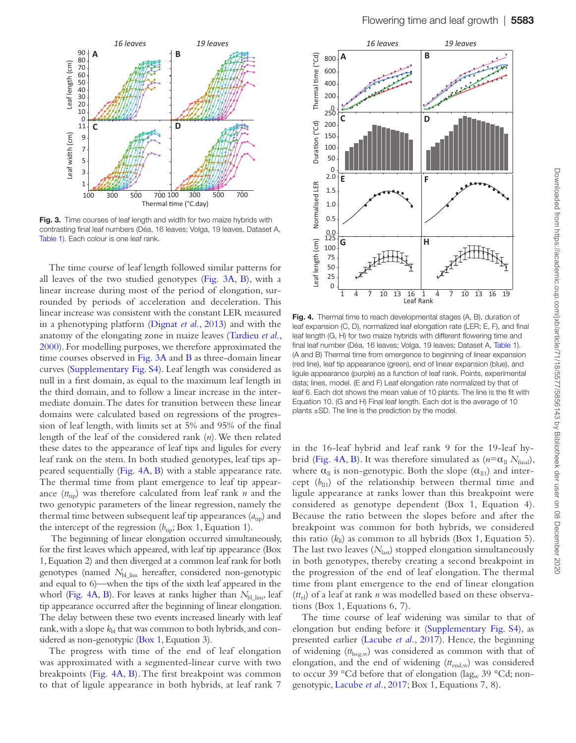

<span id="page-6-0"></span>Fig. 3. Time courses of leaf length and width for two maize hybrids with contrasting final leaf numbers (Déa, 16 leaves; Volga, 19 leaves, Dataset A, [Table 1\)](#page-2-0). Each colour is one leaf rank.

The time course of leaf length followed similar patterns for all leaves of the two studied genotypes ([Fig. 3A](#page-6-0), [B](#page-6-0)), with a linear increase during most of the period of elongation, surrounded by periods of acceleration and deceleration. This linear increase was consistent with the constant LER measured in a phenotyping platform [\(Dignat](#page-10-13) *et al.*, 2013) and with the anatomy of the elongating zone in maize leaves ([Tardieu](#page-10-27) *et al.*, [2000\)](#page-10-27). For modelling purposes, we therefore approximated the time courses observed in [Fig. 3A](#page-6-0) and [B](#page-6-0) as three-domain linear curves [\(Supplementary Fig. S4\)](http://academic.oup.com/jxb/article-lookup/doi/10.1093/jxb/eraa278#supplementary-data). Leaf length was considered as null in a first domain, as equal to the maximum leaf length in the third domain, and to follow a linear increase in the intermediate domain. The dates for transition between these linear domains were calculated based on regressions of the progression of leaf length, with limits set at 5% and 95% of the final length of the leaf of the considered rank (*n*). We then related these dates to the appearance of leaf tips and ligules for every leaf rank on the stem. In both studied genotypes, leaf tips appeared sequentially ([Fig. 4A](#page-6-1), [B\)](#page-6-1) with a stable appearance rate. The thermal time from plant emergence to leaf tip appearance  $(t_{\text{tin}})$  was therefore calculated from leaf rank *n* and the two genotypic parameters of the linear regression, namely the thermal time between subsequent leaf tip appearances  $(a_{\text{tip}})$  and the intercept of the regression  $(b_{\text{tip}}; Box\ 1, Equation\ 1)$ .

 The beginning of linear elongation occurred simultaneously, for the first leaves which appeared, with leaf tip appearance (Box 1, Equation 2) and then diverged at a common leaf rank for both genotypes (named  $N_{bl\ lim}$  hereafter, considered non-genotypic and equal to 6)—when the tips of the sixth leaf appeared in the whorl [\(Fig. 4A](#page-6-1), [B](#page-6-1)). For leaves at ranks higher than  $N_{bl\,lim}$  leaf tip appearance occurred after the beginning of linear elongation. The delay between these two events increased linearly with leaf rank, with a slope  $k<sub>bl</sub>$  that was common to both hybrids, and considered as non-genotypic ([Box 1,](#page-3-0) Equation 3).

The progress with time of the end of leaf elongation was approximated with a segmented-linear curve with two breakpoints [\(Fig. 4A](#page-6-1), [B](#page-6-1)). The first breakpoint was common to that of ligule appearance in both hybrids, at leaf rank 7



<span id="page-6-1"></span>Fig. 4. Thermal time to reach developmental stages (A, B), duration of leaf expansion (C, D), normalized leaf elongation rate (LER; E, F), and final leaf length (G, H) for two maize hybrids with different flowering time and final leaf number (Déa, 16 leaves; Volga, 19 leaves; Dataset A, [Table 1\)](#page-2-0). (A and B) Thermal time from emergence to beginning of linear expansion (red line), leaf tip appearance (green), end of linear expansion (blue), and ligule appearance (purple) as a function of leaf rank. Points, experimental data; lines, model. (E and F) Leaf elongation rate normalized by that of leaf 6. Each dot shows the mean value of 10 plants. The line is the fit with Equation 10. (G and H) Final leaf length. Each dot is the average of 10 plants ±SD. The line is the prediction by the model.

in the 16-leaf hybrid and leaf rank 9 for the 19-leaf hy-brid [\(Fig. 4A,](#page-6-1) [B\)](#page-6-1). It was therefore simulated as  $(n = \alpha_{\text{ll}} N_{\text{final}})$ , where  $\alpha_{\parallel}$  is non-genotypic. Both the slope  $(\alpha_{\parallel 1})$  and intercept  $(b_{11})$  of the relationship between thermal time and ligule appearance at ranks lower than this breakpoint were considered as genotype dependent (Box 1, Equation 4). Because the ratio between the slopes before and after the breakpoint was common for both hybrids, we considered this ratio  $(k_{\parallel})$  as common to all hybrids (Box 1, Equation 5). The last two leaves ( $N_{\text{last}}$ ) stopped elongation simultaneously in both genotypes, thereby creating a second breakpoint in the progression of the end of leaf elongation. The thermal time from plant emergence to the end of linear elongation (*tt*<sub>el</sub>) of a leaf at rank *n* was modelled based on these observations (Box 1, Equations 6, 7).

The time course of leaf widening was similar to that of elongation but ending before it ([Supplementary Fig. S4](http://academic.oup.com/jxb/article-lookup/doi/10.1093/jxb/eraa278#supplementary-data)), as presented earlier [\(Lacube](#page-10-14) *et al.*, 2017). Hence, the beginning of widening (*tt*beg,w) was considered as common with that of elongation, and the end of widening (*tt*end,w) was considered to occur 39 °Cd before that of elongation (lag<sub>w</sub> 39 °Cd; nongenotypic, [Lacube](#page-10-14) *et al.*, 2017; Box 1, Equations 7, 8).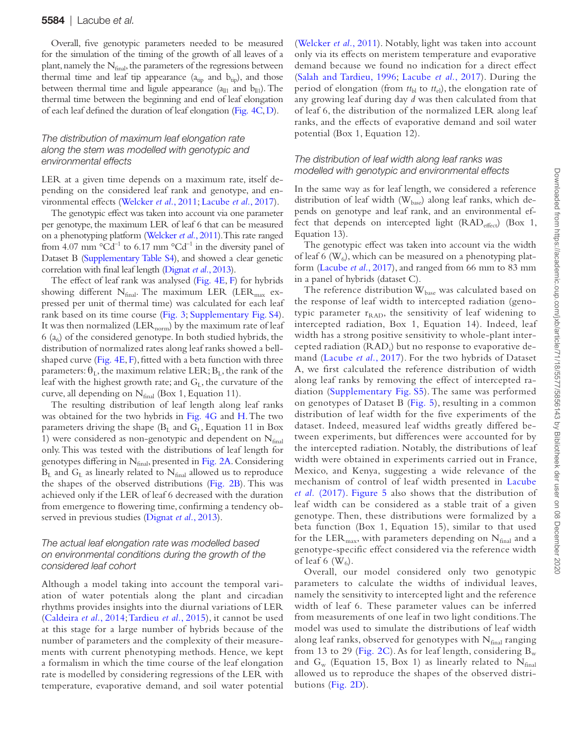Overall, five genotypic parameters needed to be measured for the simulation of the timing of the growth of all leaves of a plant, namely the  $N_{final}$ , the parameters of the regressions between thermal time and leaf tip appearance  $(a_{tip}$  and  $b_{tip}$ ), and those between thermal time and ligule appearance  $(a_{01}$  and  $b_{01}$ ). The thermal time between the beginning and end of leaf elongation of each leaf defined the duration of leaf elongation [\(Fig. 4C](#page-6-1), [D](#page-6-1)).

## *The distribution of maximum leaf elongation rate along the stem was modelled with genotypic and environmental effects*

LER at a given time depends on a maximum rate, itself depending on the considered leaf rank and genotype, and environmental effects [\(Welcker](#page-11-1) *et al.*, 2011; [Lacube](#page-10-14) *et al.*, 2017).

The genotypic effect was taken into account via one parameter per genotype, the maximum LER of leaf 6 that can be measured on a phenotyping platform [\(Welcker](#page-11-1) *et al.*, 2011). This rate ranged from 4.07 mm  $^{\circ}$ Cd<sup>-1</sup> to 6.17 mm  $^{\circ}$ Cd<sup>-1</sup> in the diversity panel of Dataset B [\(Supplementary Table S4](http://academic.oup.com/jxb/article-lookup/doi/10.1093/jxb/eraa278#supplementary-data)), and showed a clear genetic correlation with final leaf length [\(Dignat](#page-10-13) *et al.*, 2013).

The effect of leaf rank was analysed ([Fig. 4E](#page-6-1), [F\)](#page-6-1) for hybrids showing different  $N_{final}$ . The maximum LER (LER $_{max}$  expressed per unit of thermal time) was calculated for each leaf rank based on its time course [\(Fig. 3](#page-6-0); [Supplementary Fig. S4](http://academic.oup.com/jxb/article-lookup/doi/10.1093/jxb/eraa278#supplementary-data)). It was then normalized (LER $_{\rm{norm}}$ ) by the maximum rate of leaf 6 ( $a_6$ ) of the considered genotype. In both studied hybrids, the distribution of normalized rates along leaf ranks showed a bellshaped curve [\(Fig. 4E, F](#page-6-1)), fitted with a beta function with three parameters:  $\theta_L$ , the maximum relative LER;  $B_L$ , the rank of the leaf with the highest growth rate; and  $G<sub>L</sub>$ , the curvature of the curve, all depending on  $N_{final}$  (Box 1, Equation 11).

The resulting distribution of leaf length along leaf ranks was obtained for the two hybrids in [Fig. 4G](#page-6-1) and [H.](#page-6-1) The two parameters driving the shape  $(B_L)$  and  $G_L$ , Equation 11 in Box 1) were considered as non-genotypic and dependent on  $N_{final}$ only. This was tested with the distributions of leaf length for genotypes differing in Nfinal, presented in [Fig. 2A.](#page-5-1) Considering  $B_L$  and  $G_L$  as linearly related to  $N_{final}$  allowed us to reproduce the shapes of the observed distributions [\(Fig. 2B](#page-5-1)). This was achieved only if the LER of leaf 6 decreased with the duration from emergence to flowering time, confirming a tendency observed in previous studies ([Dignat](#page-10-13) *et al.*, 2013).

#### *The actual leaf elongation rate was modelled based on environmental conditions during the growth of the considered leaf cohort*

Although a model taking into account the temporal variation of water potentials along the plant and circadian rhythms provides insights into the diurnal variations of LER ([Caldeira](#page-10-28) *et al.*, 2014; [Tardieu](#page-10-29) *et al.*, 2015), it cannot be used at this stage for a large number of hybrids because of the number of parameters and the complexity of their measurements with current phenotyping methods. Hence, we kept a formalism in which the time course of the leaf elongation rate is modelled by considering regressions of the LER with temperature, evaporative demand, and soil water potential

([Welcker](#page-11-1) *et al.*, 2011). Notably, light was taken into account only via its effects on meristem temperature and evaporative demand because we found no indication for a direct effect ([Salah and Tardieu, 1996;](#page-10-30) [Lacube](#page-10-14) *et al.*, 2017). During the period of elongation (from  $tt_{bl}$  to  $tt_{el}$ ), the elongation rate of any growing leaf during day *d* was then calculated from that of leaf 6, the distribution of the normalized LER along leaf ranks, and the effects of evaporative demand and soil water potential (Box 1, Equation 12).

#### *The distribution of leaf width along leaf ranks was modelled with genotypic and environmental effects*

In the same way as for leaf length, we considered a reference distribution of leaf width  $(W_{base})$  along leaf ranks, which depends on genotype and leaf rank, and an environmental effect that depends on intercepted light  $(RAD_{effect})$  (Box 1, Equation 13).

The genotypic effect was taken into account via the width of leaf 6 ( $W_6$ ), which can be measured on a phenotyping platform ([Lacube](#page-10-14) *et al.*, 2017), and ranged from 66 mm to 83 mm in a panel of hybrids (dataset C).

The reference distribution  $W_{base}$  was calculated based on the response of leaf width to intercepted radiation (genotypic parameter  $r_{RAD}$ , the sensitivity of leaf widening to intercepted radiation, Box 1, Equation 14). Indeed, leaf width has a strong positive sensitivity to whole-plant intercepted radiation (RAD<sub>i</sub>) but no response to evaporative demand [\(Lacube](#page-10-14) *et al.*, 2017). For the two hybrids of Dataset A, we first calculated the reference distribution of width along leaf ranks by removing the effect of intercepted radiation ([Supplementary Fig. S5](http://academic.oup.com/jxb/article-lookup/doi/10.1093/jxb/eraa278#supplementary-data)). The same was performed on genotypes of Dataset B [\(Fig. 5](#page-8-0)), resulting in a common distribution of leaf width for the five experiments of the dataset. Indeed, measured leaf widths greatly differed between experiments, but differences were accounted for by the intercepted radiation. Notably, the distributions of leaf width were obtained in experiments carried out in France, Mexico, and Kenya, suggesting a wide relevance of the mechanism of control of leaf width presented in [Lacube](#page-10-14) *et al.* [\(2017\).](#page-10-14) [Figure 5](#page-8-0) also shows that the distribution of leaf width can be considered as a stable trait of a given genotype. Then, these distributions were formalized by a beta function (Box 1, Equation 15), similar to that used for the LER $_{\text{max}}$ , with parameters depending on  $N_{\text{final}}$  and a genotype-specific effect considered via the reference width of leaf 6  $(W_6)$ .

Overall, our model considered only two genotypic parameters to calculate the widths of individual leaves, namely the sensitivity to intercepted light and the reference width of leaf 6. These parameter values can be inferred from measurements of one leaf in two light conditions. The model was used to simulate the distributions of leaf width along leaf ranks, observed for genotypes with  $N_{final}$  ranging from 13 to 29 [\(Fig. 2C\)](#page-5-1). As for leaf length, considering  $B_w$ and  $G_w$  (Equation 15, Box 1) as linearly related to  $N_{final}$ allowed us to reproduce the shapes of the observed distributions ([Fig. 2D](#page-5-1)).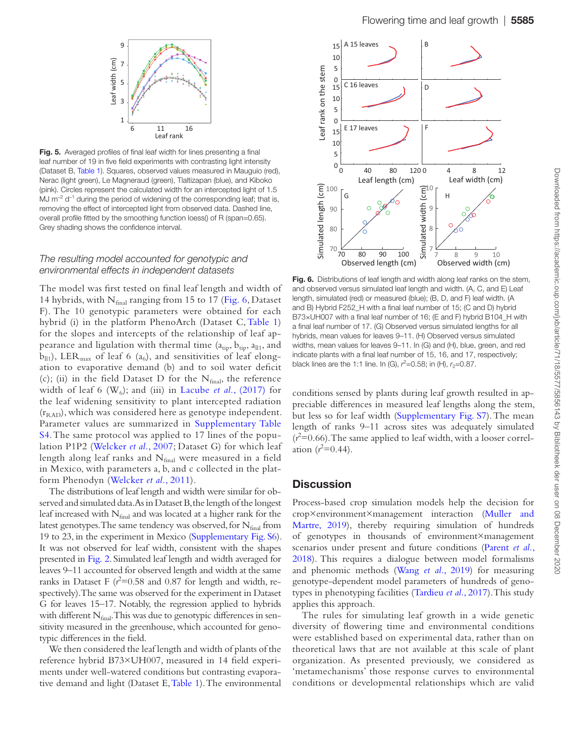<span id="page-8-0"></span>

Fig. 5. Averaged profiles of final leaf width for lines presenting a final leaf number of 19 in five field experiments with contrasting light intensity (Dataset B, [Table 1](#page-2-0)). Squares, observed values measured in Mauguio (red), Nerac (light green), Le Magneraud (green), Tlaltizapan (blue), and Kiboko (pink). Circles represent the calculated width for an intercepted light of 1.5 MJ  $\mathrm{m}^{-2}$  d<sup>-1</sup> during the period of widening of the corresponding leaf; that is, removing the effect of intercepted light from observed data. Dashed line, overall profile fitted by the smoothing function loess() of R (span=0.65). Grey shading shows the confidence interval.

#### *The resulting model accounted for genotypic and environmental effects in independent datasets*

The model was first tested on final leaf length and width of 14 hybrids, with  $N_{final}$  ranging from 15 to 17 [\(Fig. 6](#page-8-1), Dataset F). The 10 genotypic parameters were obtained for each hybrid (i) in the platform PhenoArch (Dataset C, [Table 1\)](#page-2-0) for the slopes and intercepts of the relationship of leaf appearance and ligulation with thermal time  $(a_{\text{tip}}, b_{\text{tip}}, a_{\text{ll}}, a_{\text{nl}})$  $b_{ll1}$ ), LER<sub>max</sub> of leaf 6 (a<sub>6</sub>), and sensitivities of leaf elongation to evaporative demand (b) and to soil water deficit (c); (ii) in the field Dataset D for the  $N_{final}$ , the reference width of leaf 6  $(W_6)$ ; and (iii) in [Lacube](#page-10-14) *et al.*, (2017) for the leaf widening sensitivity to plant intercepted radiation  $(r<sub>RAD</sub>)$ , which was considered here as genotype independent. Parameter values are summarized in [Supplementary Table](http://academic.oup.com/jxb/article-lookup/doi/10.1093/jxb/eraa278#supplementary-data) [S4.](http://academic.oup.com/jxb/article-lookup/doi/10.1093/jxb/eraa278#supplementary-data) The same protocol was applied to 17 lines of the population P1P2 [\(Welcker](#page-10-26) *et al.*, 2007; Dataset G) for which leaf length along leaf ranks and  $N_{final}$  were measured in a field in Mexico, with parameters a, b, and c collected in the platform Phenodyn [\(Welcker](#page-11-1) *et al.*, 2011).

The distributions of leaf length and width were similar for observed and simulated data. As in Dataset B, the length of the longest leaf increased with  $N_{final}$  and was located at a higher rank for the latest genotypes. The same tendency was observed, for  $N_{final}$  from 19 to 23, in the experiment in Mexico ([Supplementary Fig. S6](http://academic.oup.com/jxb/article-lookup/doi/10.1093/jxb/eraa278#supplementary-data)). It was not observed for leaf width, consistent with the shapes presented in [Fig. 2](#page-5-1). Simulated leaf length and width averaged for leaves 9–11 accounted for observed length and width at the same ranks in Dataset F  $(r^2=0.58$  and 0.87 for length and width, respectively). The same was observed for the experiment in Dataset G for leaves 15–17. Notably, the regression applied to hybrids with different  $N_{final}$ . This was due to genotypic differences in sensitivity measured in the greenhouse, which accounted for genotypic differences in the field.

We then considered the leaf length and width of plants of the reference hybrid B73×UH007, measured in 14 field experiments under well-watered conditions but contrasting evaporative demand and light (Dataset E, [Table 1](#page-2-0)). The environmental



<span id="page-8-1"></span>Fig. 6. Distributions of leaf length and width along leaf ranks on the stem, and observed versus simulated leaf length and width. (A, C, and E) Leaf length, simulated (red) or measured (blue); (B, D, and F) leaf width. (A and B) Hybrid F252\_H with a final leaf number of 15; (C and D) hybrid B73×UH007 with a final leaf number of 16; (E and F) hybrid B104\_H with a final leaf number of 17. (G) Observed versus simulated lengths for all hybrids, mean values for leaves 9–11. (H) Observed versus simulated widths, mean values for leaves 9–11. In (G) and (H), blue, green, and red indicate plants with a final leaf number of 15, 16, and 17, respectively; black lines are the 1:1 line. In (G),  $r^2$ =0.58; in (H),  $r_2$ =0.87.

conditions sensed by plants during leaf growth resulted in appreciable differences in measured leaf lengths along the stem, but less so for leaf width [\(Supplementary Fig. S7](http://academic.oup.com/jxb/article-lookup/doi/10.1093/jxb/eraa278#supplementary-data)). The mean length of ranks 9–11 across sites was adequately simulated  $(r<sup>2</sup>=0.66)$ . The same applied to leaf width, with a looser correlation  $(r^2=0.44)$ .

## **Discussion**

Process-based crop simulation models help the decision for crop×environment×management interaction ([Muller and](#page-10-31) [Martre, 2019\)](#page-10-31), thereby requiring simulation of hundreds of genotypes in thousands of environment×management scenarios under present and future conditions [\(Parent](#page-10-10) *et al.*, [2018\)](#page-10-10). This requires a dialogue between model formalisms and phenomic methods (Wang *et al.*[, 2019\)](#page-10-32) for measuring genotype-dependent model parameters of hundreds of genotypes in phenotyping facilities [\(Tardieu](#page-10-33) *et al.*, 2017). This study applies this approach.

The rules for simulating leaf growth in a wide genetic diversity of flowering time and environmental conditions were established based on experimental data, rather than on theoretical laws that are not available at this scale of plant organization. As presented previously, we considered as 'metamechanisms' those response curves to environmental conditions or developmental relationships which are valid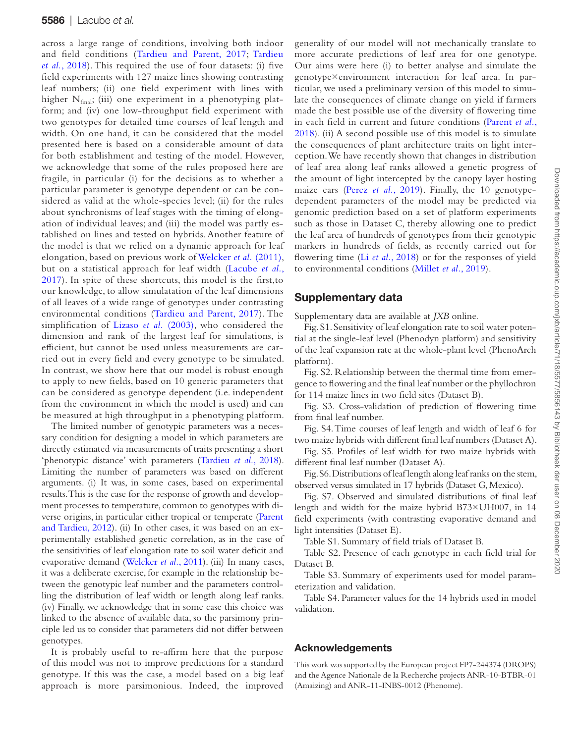across a large range of conditions, involving both indoor and field conditions [\(Tardieu and Parent, 2017](#page-10-33); [Tardieu](#page-10-20) *et al.*[, 2018\)](#page-10-20). This required the use of four datasets: (i) five field experiments with 127 maize lines showing contrasting leaf numbers; (ii) one field experiment with lines with higher  $N_{final}$ ; (iii) one experiment in a phenotyping platform; and (iv) one low-throughput field experiment with two genotypes for detailed time courses of leaf length and width. On one hand, it can be considered that the model presented here is based on a considerable amount of data for both establishment and testing of the model. However, we acknowledge that some of the rules proposed here are fragile, in particular (i) for the decisions as to whether a particular parameter is genotype dependent or can be considered as valid at the whole-species level; (ii) for the rules about synchronisms of leaf stages with the timing of elongation of individual leaves; and (iii) the model was partly established on lines and tested on hybrids. Another feature of the model is that we relied on a dynamic approach for leaf elongation, based on previous work of [Welcker](#page-11-1) *et al.* (2011), but on a statistical approach for leaf width ([Lacube](#page-10-14) *et al.*, [2017\)](#page-10-14). In spite of these shortcuts, this model is the first,to our knowledge, to allow simulatation of the leaf dimensions of all leaves of a wide range of genotypes under contrasting environmental conditions ([Tardieu and Parent, 2017\)](#page-10-33). The simplification of Lizaso *et al.* [\(2003\)](#page-10-12), who considered the dimension and rank of the largest leaf for simulations, is efficient, but cannot be used unless measurements are carried out in every field and every genotype to be simulated. In contrast, we show here that our model is robust enough to apply to new fields, based on 10 generic parameters that can be considered as genotype dependent (i.e. independent from the environment in which the model is used) and can be measured at high throughput in a phenotyping platform.

The limited number of genotypic parameters was a necessary condition for designing a model in which parameters are directly estimated via measurements of traits presenting a short 'phenotypic distance' with parameters [\(Tardieu](#page-10-20) *et al.*, 2018). Limiting the number of parameters was based on different arguments. (i) It was, in some cases, based on experimental results. This is the case for the response of growth and development processes to temperature, common to genotypes with diverse origins, in particular either tropical or temperate [\(Parent](#page-10-34) [and Tardieu, 2012\)](#page-10-34). (ii) In other cases, it was based on an experimentally established genetic correlation, as in the case of the sensitivities of leaf elongation rate to soil water deficit and evaporative demand ([Welcker](#page-11-1) *et al.*, 2011). (iii) In many cases, it was a deliberate exercise, for example in the relationship between the genotypic leaf number and the parameters controlling the distribution of leaf width or length along leaf ranks. (iv) Finally, we acknowledge that in some case this choice was linked to the absence of available data, so the parsimony principle led us to consider that parameters did not differ between genotypes.

It is probably useful to re-affirm here that the purpose of this model was not to improve predictions for a standard genotype. If this was the case, a model based on a big leaf approach is more parsimonious. Indeed, the improved

generality of our model will not mechanically translate to more accurate predictions of leaf area for one genotype. Our aims were here (i) to better analyse and simulate the genotype×environment interaction for leaf area. In particular, we used a preliminary version of this model to simulate the consequences of climate change on yield if farmers made the best possible use of the diversity of flowering time in each field in current and future conditions ([Parent](#page-10-10) *et al.*, [2018](#page-10-10)). (ii) A second possible use of this model is to simulate the consequences of plant architecture traits on light interception. We have recently shown that changes in distribution of leaf area along leaf ranks allowed a genetic progress of the amount of light intercepted by the canopy layer hosting maize ears (Perez *et al.*[, 2019\)](#page-10-11). Finally, the 10 genotypedependent parameters of the model may be predicted via genomic prediction based on a set of platform experiments such as those in Dataset C, thereby allowing one to predict the leaf area of hundreds of genotypes from their genotypic markers in hundreds of fields, as recently carried out for flowering time (Li *et al.*[, 2018\)](#page-10-35) or for the responses of yield to environmental conditions [\(Millet](#page-10-6) *et al.*, 2019).

# Supplementary data

Supplementary data are available at *JXB* online.

Fig. S1. Sensitivity of leaf elongation rate to soil water potential at the single-leaf level (Phenodyn platform) and sensitivity of the leaf expansion rate at the whole-plant level (PhenoArch platform).

Fig. S2. Relationship between the thermal time from emergence to flowering and the final leaf number or the phyllochron for 114 maize lines in two field sites (Dataset B).

Fig. S3. Cross-validation of prediction of flowering time from final leaf number.

Fig. S4. Time courses of leaf length and width of leaf 6 for two maize hybrids with different final leaf numbers (Dataset A).

Fig. S5. Profiles of leaf width for two maize hybrids with different final leaf number (Dataset A).

Fig. S6. Distributions of leaf length along leaf ranks on the stem, observed versus simulated in 17 hybrids (Dataset G, Mexico).

Fig. S7. Observed and simulated distributions of final leaf length and width for the maize hybrid B73×UH007, in 14 field experiments (with contrasting evaporative demand and light intensities (Dataset E).

Table S1. Summary of field trials of Dataset B.

Table S2. Presence of each genotype in each field trial for Dataset B.

Table S3. Summary of experiments used for model parameterization and validation.

Table S4. Parameter values for the 14 hybrids used in model validation.

# Acknowledgements

This work was supported by the European project FP7-244374 (DROPS) and the Agence Nationale de la Recherche projects ANR-10-BTBR-01 (Amaizing) and ANR-11-INBS-0012 (Phenome).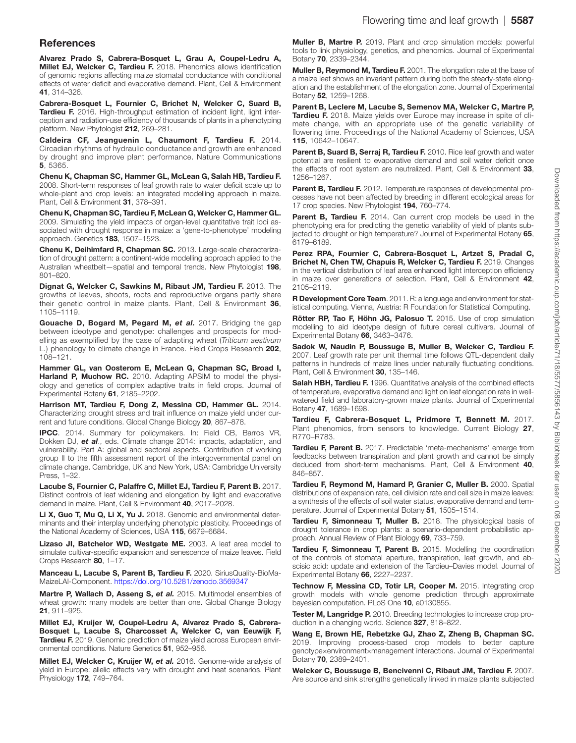## **References**

<span id="page-10-22"></span>Alvarez Prado S, Cabrera-Bosquet L, Grau A, Coupel-Ledru A, Millet EJ, Welcker C, Tardieu F. 2018. Phenomics allows identification of genomic regions affecting maize stomatal conductance with conditional effects of water deficit and evaporative demand. Plant, Cell & Environment 41, 314–326.

<span id="page-10-23"></span>Cabrera-Bosquet L, Fournier C, Brichet N, Welcker C, Suard B, Tardieu F. 2016. High-throughput estimation of incident light, light interception and radiation-use efficiency of thousands of plants in a phenotyping platform. New Phytologist 212, 269–281.

<span id="page-10-28"></span>Caldeira CF, Jeanguenin L, Chaumont F, Tardieu F. 2014. Circadian rhythms of hydraulic conductance and growth are enhanced by drought and improve plant performance. Nature Communications 5, 5365.

<span id="page-10-15"></span>Chenu K, Chapman SC, Hammer GL, McLean G, Salah HB, Tardieu F. 2008. Short-term responses of leaf growth rate to water deficit scale up to whole-plant and crop levels: an integrated modelling approach in maize. Plant, Cell & Environment 31, 378–391.

<span id="page-10-16"></span>Chenu K, Chapman SC, Tardieu F, McLean G, Welcker C, Hammer GL. 2009. Simulating the yield impacts of organ-level quantitative trait loci associated with drought response in maize: a 'gene-to-phenotype' modeling approach. Genetics 183, 1507–1523.

<span id="page-10-4"></span>Chenu K, Deihimfard R, Chapman SC. 2013. Large-scale characterization of drought pattern: a continent-wide modelling approach applied to the Australian wheatbelt—spatial and temporal trends. New Phytologist 198, 801–820.

<span id="page-10-13"></span>Dignat G, Welcker C, Sawkins M, Ribaut JM, Tardieu F. 2013. The growths of leaves, shoots, roots and reproductive organs partly share their genetic control in maize plants. Plant, Cell & Environment 36, 1105–1119.

<span id="page-10-19"></span>Gouache D, Bogard M, Pegard M, et al. 2017. Bridging the gap between ideotype and genotype: challenges and prospects for modelling as exemplified by the case of adapting wheat (*Triticum aestivum* L.) phenology to climate change in France. Field Crops Research 202, 108–121.

<span id="page-10-9"></span>Hammer GL, van Oosterom E, McLean G, Chapman SC, Broad I, Harland P, Muchow RC. 2010. Adapting APSIM to model the physiology and genetics of complex adaptive traits in field crops. Journal of Experimental Botany 61, 2185–2202.

<span id="page-10-5"></span>Harrison MT, Tardieu F, Dong Z, Messina CD, Hammer GL. 2014. Characterizing drought stress and trait influence on maize yield under current and future conditions. Global Change Biology 20, 867–878.

<span id="page-10-1"></span>IPCC. 2014. Summary for policymakers. In: Field CB, Barros VR, Dokken DJ, *et al*., eds. Climate change 2014: impacts, adaptation, and vulnerability. Part A: global and sectoral aspects. Contribution of working group II to the fifth assessment report of the intergovernmental panel on climate change. Cambridge, UK and New York, USA: Cambridge University Press, 1–32.

<span id="page-10-14"></span>Lacube S, Fournier C, Palaffre C, Millet EJ, Tardieu F, Parent B. 2017. Distinct controls of leaf widening and elongation by light and evaporative demand in maize. Plant, Cell & Environment 40, 2017–2028.

<span id="page-10-35"></span>Li X, Guo T, Mu Q, Li X, Yu J. 2018. Genomic and environmental determinants and their interplay underlying phenotypic plasticity. Proceedings of the National Academy of Sciences, USA 115, 6679–6684.

<span id="page-10-12"></span>Lizaso JI, Batchelor WD, Westgate ME. 2003. A leaf area model to simulate cultivar-specific expansion and senescence of maize leaves. Field Crops Research 80, 1–17.

<span id="page-10-17"></span>Manceau L, Lacube S, Parent B, Tardieu F. 2020. SiriusQuality-BioMa-MaizeLAI-Component. <https://doi.org/10.5281/zenodo.3569347>

<span id="page-10-7"></span>Martre P, Wallach D, Asseng S, et al. 2015. Multimodel ensembles of wheat growth: many models are better than one. Global Change Biology 21, 911–925.

<span id="page-10-6"></span>Millet EJ, Kruijer W, Coupel-Ledru A, Alvarez Prado S, Cabrera-Bosquet L, Lacube S, Charcosset A, Welcker C, van Eeuwijk F, Tardieu F. 2019. Genomic prediction of maize yield across European environmental conditions. Nature Genetics 51, 952–956.

<span id="page-10-3"></span>Millet EJ, Welcker C, Kruijer W, *et al.* 2016. Genome-wide analysis of yield in Europe: allelic effects vary with drought and heat scenarios. Plant Physiology 172, 749–764.

<span id="page-10-31"></span>Muller B, Martre P. 2019. Plant and crop simulation models: powerful tools to link physiology, genetics, and phenomics. Journal of Experimental Botany 70, 2339–2344.

<span id="page-10-21"></span>Muller B, Reymond M, Tardieu F. 2001. The elongation rate at the base of a maize leaf shows an invariant pattern during both the steady-state elongation and the establishment of the elongation zone. Journal of Experimental Botany 52, 1259–1268.

<span id="page-10-10"></span>Parent B, Leclere M, Lacube S, Semenov MA, Welcker C, Martre P, Tardieu F. 2018. Maize yields over Europe may increase in spite of climate change, with an appropriate use of the genetic variability of flowering time. Proceedings of the National Academy of Sciences, USA 115, 10642–10647.

<span id="page-10-25"></span>Parent B, Suard B, Serraj R, Tardieu F. 2010. Rice leaf growth and water potential are resilient to evaporative demand and soil water deficit once the effects of root system are neutralized. Plant, Cell & Environment 33, 1256–1267.

<span id="page-10-34"></span>Parent B, Tardieu F. 2012. Temperature responses of developmental processes have not been affected by breeding in different ecological areas for 17 crop species. New Phytologist 194, 760–774.

<span id="page-10-8"></span>Parent B, Tardieu F. 2014. Can current crop models be used in the phenotyping era for predicting the genetic variability of yield of plants subjected to drought or high temperature? Journal of Experimental Botany 65, 6179–6189.

<span id="page-10-11"></span>Perez RPA, Fournier C, Cabrera-Bosquet L, Artzet S, Pradal C, Brichet N, Chen TW, Chapuis R, Welcker C, Tardieu F. 2019. Changes in the vertical distribution of leaf area enhanced light interception efficiency in maize over generations of selection. Plant, Cell & Environment 42, 2105–2119.

R Development Core Team. 2011. R: a language and environment for statistical computing. Vienna, Austria: R Foundation for Statistical Computing.

<span id="page-10-18"></span>Rötter RP, Tao F, Höhn JG, Palosuo T. 2015. Use of crop simulation modelling to aid ideotype design of future cereal cultivars. Journal of Experimental Botany 66, 3463–3476.

<span id="page-10-24"></span>Sadok W, Naudin P, Boussuge B, Muller B, Welcker C, Tardieu F. 2007. Leaf growth rate per unit thermal time follows QTL-dependent daily patterns in hundreds of maize lines under naturally fluctuating conditions. Plant, Cell & Environment 30, 135-146.

<span id="page-10-30"></span>Salah HBH, Tardieu F. 1996. Quantitative analysis of the combined effects of temperature, evaporative demand and light on leaf elongation rate in wellwatered field and laboratory-grown maize plants. Journal of Experimental Botany 47, 1689–1698.

Tardieu F, Cabrera-Bosquet L, Pridmore T, Bennett M. 2017. Plant phenomics, from sensors to knowledge. Current Biology 27, R770–R783.

<span id="page-10-33"></span>Tardieu F, Parent B. 2017. Predictable 'meta-mechanisms' emerge from feedbacks between transpiration and plant growth and cannot be simply deduced from short-term mechanisms. Plant, Cell & Environment 40, 846–857.

<span id="page-10-27"></span>Tardieu F, Reymond M, Hamard P, Granier C, Muller B. 2000. Spatial distributions of expansion rate, cell division rate and cell size in maize leaves: a synthesis of the effects of soil water status, evaporative demand and temperature. Journal of Experimental Botany 51, 1505–1514.

<span id="page-10-20"></span>Tardieu F, Simonneau T, Muller B. 2018. The physiological basis of drought tolerance in crop plants: a scenario-dependent probabilistic approach. Annual Review of Plant Biology 69, 733–759.

<span id="page-10-29"></span>Tardieu F, Simonneau T, Parent B. 2015. Modelling the coordination of the controls of stomatal aperture, transpiration, leaf growth, and abscisic acid: update and extension of the Tardieu–Davies model. Journal of Experimental Botany 66, 2227–2237.

<span id="page-10-2"></span>Technow F, Messina CD, Totir LR, Cooper M. 2015. Integrating crop growth models with whole genome prediction through approximate bayesian computation. PLoS One 10, e0130855.

<span id="page-10-0"></span>Tester M, Langridge P. 2010. Breeding technologies to increase crop production in a changing world. Science 327, 818-822.

<span id="page-10-32"></span>Wang E, Brown HE, Rebetzke GJ, Zhao Z, Zheng B, Chapman SC. 2019. Improving process-based crop models to better capture genotype×environment×management interactions. Journal of Experimental Botany 70, 2389–2401.

<span id="page-10-26"></span>Welcker C, Boussuge B, Bencivenni C, Ribaut JM, Tardieu F. 2007. Are source and sink strengths genetically linked in maize plants subjected